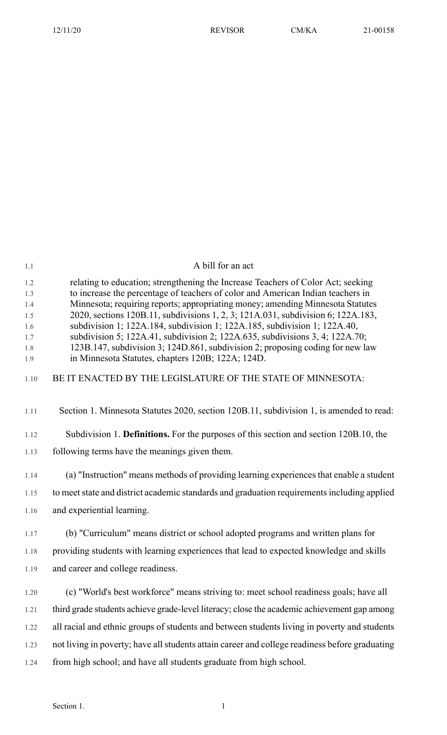| 1.1        | A bill for an act                                                                                                                                         |
|------------|-----------------------------------------------------------------------------------------------------------------------------------------------------------|
| 1.2        | relating to education; strengthening the Increase Teachers of Color Act; seeking                                                                          |
| 1.3        | to increase the percentage of teachers of color and American Indian teachers in                                                                           |
| 1.4        | Minnesota; requiring reports; appropriating money; amending Minnesota Statutes                                                                            |
| 1.5        | 2020, sections 120B.11, subdivisions 1, 2, 3; 121A.031, subdivision 6; 122A.183,                                                                          |
| 1.6<br>1.7 | subdivision 1; 122A.184, subdivision 1; 122A.185, subdivision 1; 122A.40,<br>subdivision 5; 122A.41, subdivision 2; 122A.635, subdivisions 3, 4; 122A.70; |
| 1.8        | 123B.147, subdivision 3; 124D.861, subdivision 2; proposing coding for new law                                                                            |
| 1.9        | in Minnesota Statutes, chapters 120B; 122A; 124D.                                                                                                         |
| 1.10       | BE IT ENACTED BY THE LEGISLATURE OF THE STATE OF MINNESOTA:                                                                                               |
| 1.11       | Section 1. Minnesota Statutes 2020, section 120B.11, subdivision 1, is amended to read:                                                                   |
| 1.12       | Subdivision 1. Definitions. For the purposes of this section and section 120B.10, the                                                                     |
| 1.13       | following terms have the meanings given them.                                                                                                             |
| 1.14       | (a) "Instruction" means methods of providing learning experiences that enable a student                                                                   |
| 1.15       | to meet state and district academic standards and graduation requirements including applied                                                               |
|            |                                                                                                                                                           |
| 1.16       | and experiential learning.                                                                                                                                |
| 1.17       | (b) "Curriculum" means district or school adopted programs and written plans for                                                                          |
| 1.18       | providing students with learning experiences that lead to expected knowledge and skills                                                                   |
| 1.19       | and career and college readiness.                                                                                                                         |
|            |                                                                                                                                                           |
| 1.20       | (c) "World's best workforce" means striving to: meet school readiness goals; have all                                                                     |
| 1.21       | third grade students achieve grade-level literacy; close the academic achievement gap among                                                               |
| 1.22       | all racial and ethnic groups of students and between students living in poverty and students                                                              |
| 1.23       | not living in poverty; have all students attain career and college readiness before graduating                                                            |
| 1.24       | from high school; and have all students graduate from high school.                                                                                        |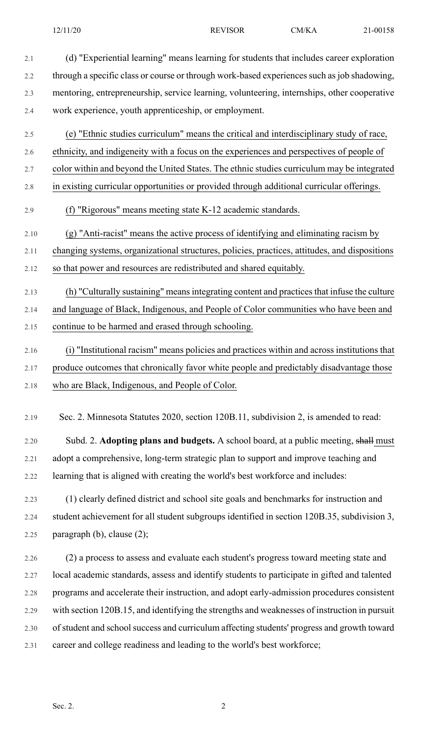- 2.1 (d) "Experiential learning" means learning for students that includes career exploration 2.2 through a specific class or course or through work-based experiences such as job shadowing, 2.3 mentoring, entrepreneurship, service learning, volunteering, internships, other cooperative 2.4 work experience, youth apprenticeship, or employment.
- 2.5 (e) "Ethnic studies curriculum" means the critical and interdisciplinary study of race,
- 2.6 ethnicity, and indigeneity with a focus on the experiences and perspectives of people of
- 2.7 color within and beyond the United States. The ethnic studies curriculum may be integrated
- 2.8 in existing curricular opportunities or provided through additional curricular offerings.

2.9 (f) "Rigorous" means meeting state K-12 academic standards.

- 2.10 (g) "Anti-racist" means the active process of identifying and eliminating racism by
- 2.11 changing systems, organizational structures, policies, practices, attitudes, and dispositions

2.12 so that power and resources are redistributed and shared equitably.

- 2.13 (h) "Culturally sustaining" means integrating content and practices that infuse the culture 2.14 and language of Black, Indigenous, and People of Color communities who have been and 2.15 continue to be harmed and erased through schooling.
- 2.16 (i) "Institutional racism" means policies and practices within and across institutions that 2.17 produce outcomes that chronically favor white people and predictably disadvantage those
- 2.18 who are Black, Indigenous, and People of Color.
- 

2.19 Sec. 2. Minnesota Statutes 2020, section 120B.11, subdivision 2, is amended to read:

2.20 Subd. 2. **Adopting plans and budgets.** A school board, at a public meeting, shall must 2.21 adopt a comprehensive, long-term strategic plan to support and improve teaching and 2.22 learning that is aligned with creating the world's best workforce and includes:

2.23 (1) clearly defined district and school site goals and benchmarks for instruction and 2.24 student achievement for all student subgroups identified in section 120B.35, subdivision 3, 2.25 paragraph (b), clause  $(2)$ ;

2.26 (2) a process to assess and evaluate each student's progress toward meeting state and 2.27 local academic standards, assess and identify students to participate in gifted and talented 2.28 programs and accelerate their instruction, and adopt early-admission procedures consistent 2.29 with section 120B.15, and identifying the strengths and weaknesses of instruction in pursuit 2.30 of student and school success and curriculum affecting students' progress and growth toward 2.31 career and college readiness and leading to the world's best workforce;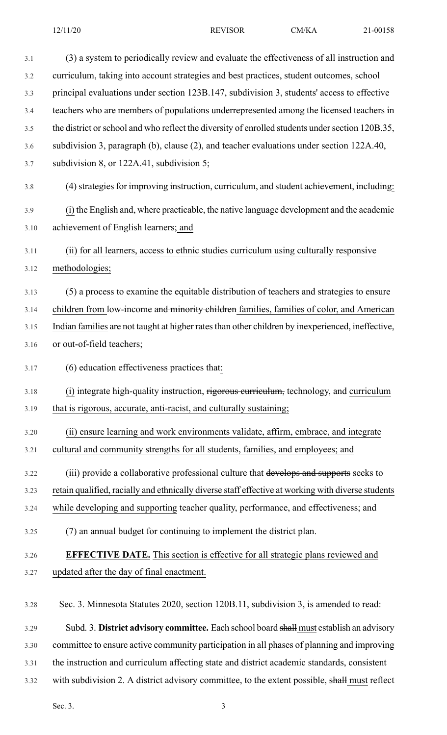| 3.1  | (3) a system to periodically review and evaluate the effectiveness of all instruction and          |
|------|----------------------------------------------------------------------------------------------------|
| 3.2  | curriculum, taking into account strategies and best practices, student outcomes, school            |
| 3.3  | principal evaluations under section 123B.147, subdivision 3, students' access to effective         |
| 3.4  | teachers who are members of populations underrepresented among the licensed teachers in            |
| 3.5  | the district or school and who reflect the diversity of enrolled students under section 120B.35,   |
| 3.6  | subdivision 3, paragraph (b), clause (2), and teacher evaluations under section 122A.40,           |
| 3.7  | subdivision 8, or 122A.41, subdivision 5;                                                          |
| 3.8  | (4) strategies for improving instruction, curriculum, and student achievement, including:          |
| 3.9  | (i) the English and, where practicable, the native language development and the academic           |
| 3.10 | achievement of English learners; and                                                               |
| 3.11 | (ii) for all learners, access to ethnic studies curriculum using culturally responsive             |
| 3.12 | methodologies;                                                                                     |
| 3.13 | (5) a process to examine the equitable distribution of teachers and strategies to ensure           |
| 3.14 | children from low-income and minority children families, families of color, and American           |
| 3.15 | Indian families are not taught at higher rates than other children by inexperienced, ineffective,  |
| 3.16 | or out-of-field teachers;                                                                          |
| 3.17 | (6) education effectiveness practices that:                                                        |
| 3.18 | (i) integrate high-quality instruction, rigorous curriculum, technology, and curriculum            |
| 3.19 | that is rigorous, accurate, anti-racist, and culturally sustaining;                                |
| 3.20 | (ii) ensure learning and work environments validate, affirm, embrace, and integrate                |
| 3.21 | cultural and community strengths for all students, families, and employees; and                    |
| 3.22 | (iii) provide a collaborative professional culture that develops and supports seeks to             |
| 3.23 | retain qualified, racially and ethnically diverse staff effective at working with diverse students |
| 3.24 | while developing and supporting teacher quality, performance, and effectiveness; and               |
| 3.25 | (7) an annual budget for continuing to implement the district plan.                                |
| 3.26 | EFFECTIVE DATE. This section is effective for all strategic plans reviewed and                     |
| 3.27 | updated after the day of final enactment.                                                          |
| 3.28 | Sec. 3. Minnesota Statutes 2020, section 120B.11, subdivision 3, is amended to read:               |
| 3.29 | Subd. 3. District advisory committee. Each school board shall must establish an advisory           |
| 3.30 | committee to ensure active community participation in all phases of planning and improving         |
| 3.31 | the instruction and curriculum affecting state and district academic standards, consistent         |

3.32 with subdivision 2. A district advisory committee, to the extent possible, shall must reflect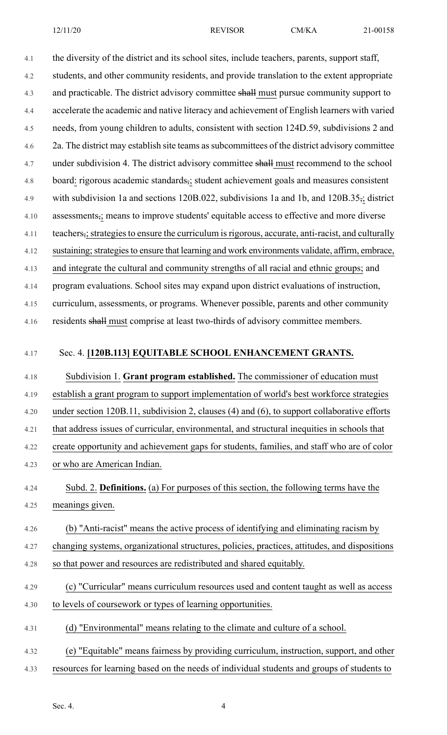12/11/20 REVISOR CM/KA 21-00158

4.1 the diversity of the district and its school sites, include teachers, parents, support staff, 4.2 students, and other community residents, and provide translation to the extent appropriate 4.3 and practicable. The district advisory committee shall must pursue community support to 4.4 accelerate the academic and native literacy and achievement of English learners with varied 4.5 needs, from young children to adults, consistent with section 124D.59, subdivisions 2 and 4.6 2a. The district may establish site teams as subcommittees of the district advisory committee 4.7 under subdivision 4. The district advisory committee shall must recommend to the school 4.8 board: rigorous academic standards,; student achievement goals and measures consistent 4.9 with subdivision 1a and sections 120B.022, subdivisions 1a and 1b, and 120B.35,; district 4.10 assessments,; means to improve students' equitable access to effective and more diverse 4.11 teachers,; strategies to ensure the curriculum is rigorous, accurate, anti-racist, and culturally 4.12 sustaining; strategies to ensure that learning and work environments validate, affirm, embrace, 4.13 and integrate the cultural and community strengths of all racial and ethnic groups; and 4.14 program evaluations. School sites may expand upon district evaluations of instruction, 4.15 curriculum, assessments, or programs. Whenever possible, parents and other community 4.16 residents shall must comprise at least two-thirds of advisory committee members.

### 4.17 Sec. 4. **[120B.113] EQUITABLE SCHOOL ENHANCEMENT GRANTS.**

4.18 Subdivision 1. **Grant program established.** The commissioner of education must 4.19 establish a grant program to support implementation of world's best workforce strategies 4.20 under section 120B.11, subdivision 2, clauses (4) and (6), to support collaborative efforts 4.21 that address issues of curricular, environmental, and structural inequities in schools that 4.22 create opportunity and achievement gaps for students, families, and staff who are of color 4.23 or who are American Indian. 4.24 Subd. 2. **Definitions.** (a) For purposes of this section, the following terms have the

4.25 meanings given.

4.26 (b) "Anti-racist" means the active process of identifying and eliminating racism by

4.27 changing systems, organizational structures, policies, practices, attitudes, and dispositions 4.28 so that power and resources are redistributed and shared equitably.

- 4.29 (c) "Curricular" means curriculum resources used and content taught as well as access 4.30 to levels of coursework or types of learning opportunities.
- 4.31 (d) "Environmental" means relating to the climate and culture of a school.

4.32 (e) "Equitable" means fairness by providing curriculum, instruction, support, and other

4.33 resources for learning based on the needs of individual students and groups of students to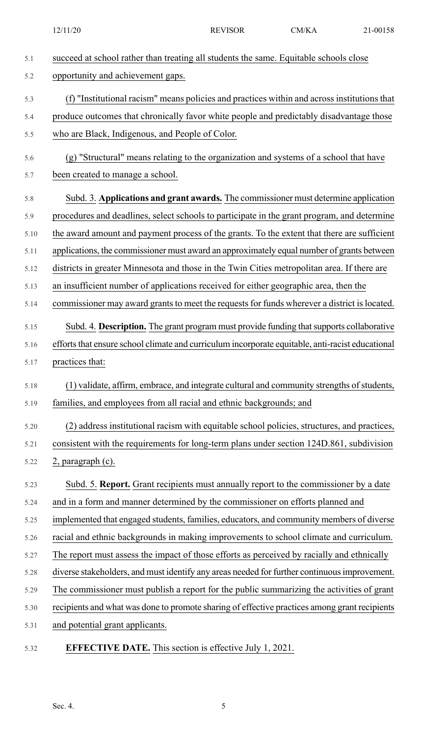| 5.1  | succeed at school rather than treating all students the same. Equitable schools close            |
|------|--------------------------------------------------------------------------------------------------|
| 5.2  | opportunity and achievement gaps.                                                                |
| 5.3  | (f) "Institutional racism" means policies and practices within and across institutions that      |
| 5.4  | produce outcomes that chronically favor white people and predictably disadvantage those          |
| 5.5  | who are Black, Indigenous, and People of Color.                                                  |
| 5.6  | (g) "Structural" means relating to the organization and systems of a school that have            |
| 5.7  | been created to manage a school.                                                                 |
| 5.8  | Subd. 3. Applications and grant awards. The commissioner must determine application              |
| 5.9  | procedures and deadlines, select schools to participate in the grant program, and determine      |
| 5.10 | the award amount and payment process of the grants. To the extent that there are sufficient      |
| 5.11 | applications, the commissioner must award an approximately equal number of grants between        |
| 5.12 | districts in greater Minnesota and those in the Twin Cities metropolitan area. If there are      |
| 5.13 | an insufficient number of applications received for either geographic area, then the             |
| 5.14 | commissioner may award grants to meet the requests for funds wherever a district is located.     |
| 5.15 | Subd. 4. Description. The grant program must provide funding that supports collaborative         |
| 5.16 | efforts that ensure school climate and curriculum incorporate equitable, anti-racist educational |
| 5.17 | practices that:                                                                                  |
| 5.18 | (1) validate, affirm, embrace, and integrate cultural and community strengths of students,       |
| 5.19 | families, and employees from all racial and ethnic backgrounds; and                              |
| 5.20 | (2) address institutional racism with equitable school policies, structures, and practices,      |
| 5.21 | consistent with the requirements for long-term plans under section 124D.861, subdivision         |
| 5.22 | 2, paragraph (c).                                                                                |
| 5.23 | Subd. 5. Report. Grant recipients must annually report to the commissioner by a date             |
| 5.24 | and in a form and manner determined by the commissioner on efforts planned and                   |
| 5.25 | implemented that engaged students, families, educators, and community members of diverse         |
| 5.26 | racial and ethnic backgrounds in making improvements to school climate and curriculum.           |
| 5.27 | The report must assess the impact of those efforts as perceived by racially and ethnically       |
| 5.28 | diverse stakeholders, and must identify any areas needed for further continuous improvement.     |
| 5.29 | The commissioner must publish a report for the public summarizing the activities of grant        |
| 5.30 | recipients and what was done to promote sharing of effective practices among grant recipients    |
| 5.31 | and potential grant applicants.                                                                  |
|      |                                                                                                  |

5.32 **EFFECTIVE DATE.** This section is effective July 1, 2021.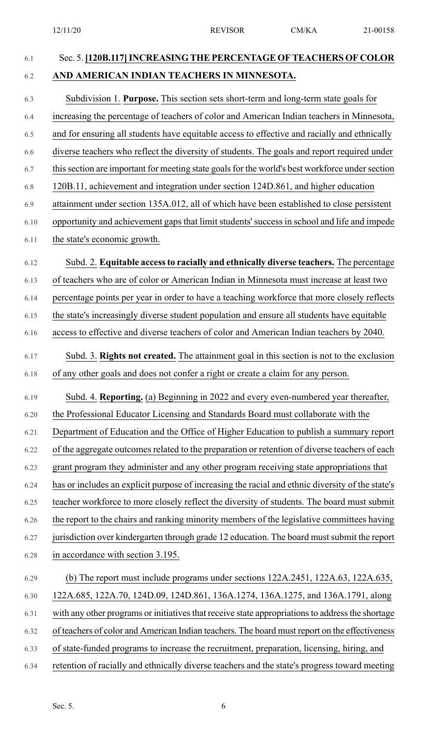- 6.1 Sec. 5.**[120B.117]INCREASING THEPERCENTAGE OFTEACHERS OF COLOR** 6.2 **AND AMERICAN INDIAN TEACHERS IN MINNESOTA.** 6.3 Subdivision 1. **Purpose.** This section sets short-term and long-term state goals for 6.4 increasing the percentage of teachers of color and American Indian teachers in Minnesota, 6.5 and for ensuring all students have equitable access to effective and racially and ethnically 6.6 diverse teachers who reflect the diversity of students. The goals and report required under 12/11/20 REVISOR CM/KA 21-00158
- 6.7 this section are important for meeting state goals for the world's best workforce under section
- 6.8 120B.11, achievement and integration under section 124D.861, and higher education
- 6.9 attainment under section 135A.012, all of which have been established to close persistent
- 6.10 opportunity and achievement gaps that limit students' success in school and life and impede 6.11 the state's economic growth.
- 6.12 Subd. 2. **Equitable accessto racially and ethnically diverse teachers.** The percentage

6.13 of teachers who are of color or American Indian in Minnesota must increase at least two

6.14 percentage points per year in order to have a teaching workforce that more closely reflects

6.15 the state's increasingly diverse student population and ensure all students have equitable

6.16 access to effective and diverse teachers of color and American Indian teachers by 2040.

## 6.17 Subd. 3. **Rights not created.** The attainment goal in this section is not to the exclusion

6.18 of any other goals and does not confer a right or create a claim for any person.

6.19 Subd. 4. **Reporting.** (a) Beginning in 2022 and every even-numbered year thereafter,

- 6.20 the Professional Educator Licensing and Standards Board must collaborate with the
- 6.21 Department of Education and the Office of Higher Education to publish a summary report

6.22 of the aggregate outcomes related to the preparation or retention of diverse teachers of each

6.23 grant program they administer and any other program receiving state appropriations that

6.24 has or includes an explicit purpose of increasing the racial and ethnic diversity of the state's

6.25 teacher workforce to more closely reflect the diversity of students. The board must submit 6.26 the report to the chairs and ranking minority members of the legislative committees having 6.27 jurisdiction over kindergarten through grade 12 education. The board mustsubmit the report

- 6.28 in accordance with section 3.195.
- 6.29 (b) The report must include programs under sections 122A.2451, 122A.63, 122A.635, 6.30 122A.685, 122A.70, 124D.09, 124D.861, 136A.1274, 136A.1275, and 136A.1791, along 6.31 with any other programs or initiatives that receive state appropriations to address the shortage 6.32 of teachers of color and American Indian teachers. The board must report on the effectiveness 6.33 of state-funded programs to increase the recruitment, preparation, licensing, hiring, and
- 6.34 retention of racially and ethnically diverse teachers and the state's progress toward meeting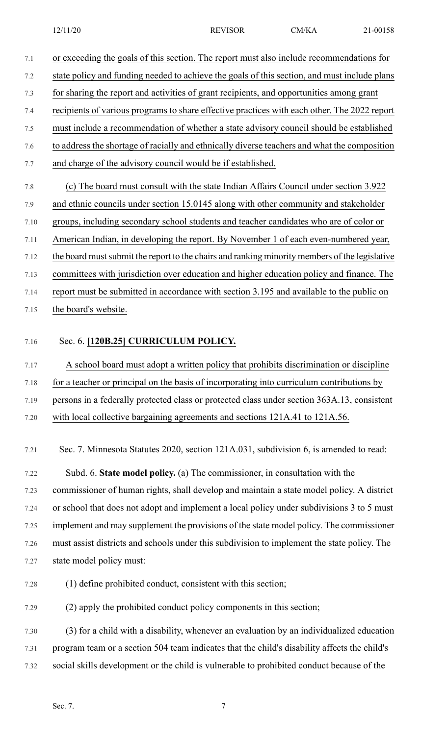- 7.1 or exceeding the goals of this section. The report must also include recommendations for 7.2 state policy and funding needed to achieve the goals of this section, and must include plans 7.3 for sharing the report and activities of grant recipients, and opportunities among grant 7.4 recipients of various programs to share effective practices with each other. The 2022 report 7.5 must include a recommendation of whether a state advisory council should be established 7.6 to address the shortage of racially and ethnically diverse teachers and what the composition 7.7 and charge of the advisory council would be if established. 7.8 (c) The board must consult with the state Indian Affairs Council under section 3.922
- 7.9 and ethnic councils under section 15.0145 along with other community and stakeholder 7.10 groups, including secondary school students and teacher candidates who are of color or 7.11 American Indian, in developing the report. By November 1 of each even-numbered year, 7.12 the board must submit the report to the chairs and ranking minority members of the legislative 7.13 committees with jurisdiction over education and higher education policy and finance. The 7.14 report must be submitted in accordance with section 3.195 and available to the public on 7.15 the board's website.
- 

### 7.16 Sec. 6. **[120B.25] CURRICULUM POLICY.**

7.17 A school board must adopt a written policy that prohibits discrimination or discipline

7.18 for a teacher or principal on the basis of incorporating into curriculum contributions by

7.19 persons in a federally protected class or protected class under section 363A.13, consistent

7.20 with local collective bargaining agreements and sections 121A.41 to 121A.56.

7.21 Sec. 7. Minnesota Statutes 2020, section 121A.031, subdivision 6, is amended to read:

7.22 Subd. 6. **State model policy.** (a) The commissioner, in consultation with the 7.23 commissioner of human rights, shall develop and maintain a state model policy. A district 7.24 or school that does not adopt and implement a local policy under subdivisions 3 to 5 must 7.25 implement and may supplement the provisions of the state model policy. The commissioner 7.26 must assist districts and schools under this subdivision to implement the state policy. The 7.27 state model policy must:

7.28 (1) define prohibited conduct, consistent with this section;

7.29 (2) apply the prohibited conduct policy components in this section;

7.30 (3) for a child with a disability, whenever an evaluation by an individualized education 7.31 program team or a section 504 team indicates that the child's disability affects the child's 7.32 social skills development or the child is vulnerable to prohibited conduct because of the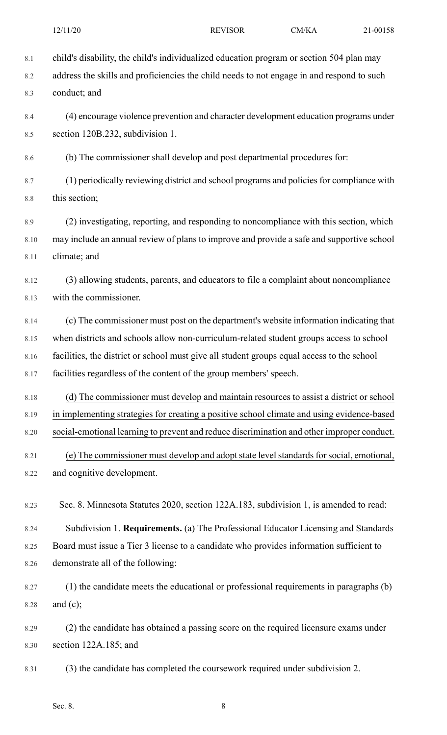8.1 child's disability, the child's individualized education program or section 504 plan may

8.2 address the skills and proficiencies the child needs to not engage in and respond to such

8.3 conduct; and

8.4 (4) encourage violence prevention and character development education programs under 8.5 section 120B.232, subdivision 1.

8.6 (b) The commissioner shall develop and post departmental procedures for:

8.7 (1) periodically reviewing district and school programs and policies for compliance with 8.8 this section;

8.9 (2) investigating, reporting, and responding to noncompliance with this section, which 8.10 may include an annual review of plans to improve and provide a safe and supportive school 8.11 climate; and

8.12 (3) allowing students, parents, and educators to file a complaint about noncompliance 8.13 with the commissioner.

8.14 (c) The commissioner must post on the department's website information indicating that 8.15 when districts and schools allow non-curriculum-related student groups access to school 8.16 facilities, the district or school must give all student groups equal access to the school 8.17 facilities regardless of the content of the group members' speech.

8.18 (d) The commissioner must develop and maintain resources to assist a district or school 8.19 in implementing strategies for creating a positive school climate and using evidence-based 8.20 social-emotional learning to prevent and reduce discrimination and other improper conduct.

8.21 (e) The commissioner must develop and adopt state level standards for social, emotional, 8.22 and cognitive development.

8.23 Sec. 8. Minnesota Statutes 2020, section 122A.183, subdivision 1, is amended to read:

8.24 Subdivision 1. **Requirements.** (a) The Professional Educator Licensing and Standards 8.25 Board must issue a Tier 3 license to a candidate who provides information sufficient to 8.26 demonstrate all of the following:

8.27 (1) the candidate meets the educational or professional requirements in paragraphs (b) 8.28 and (c);

8.29 (2) the candidate has obtained a passing score on the required licensure exams under 8.30 section 122A.185; and

8.31 (3) the candidate has completed the coursework required under subdivision 2.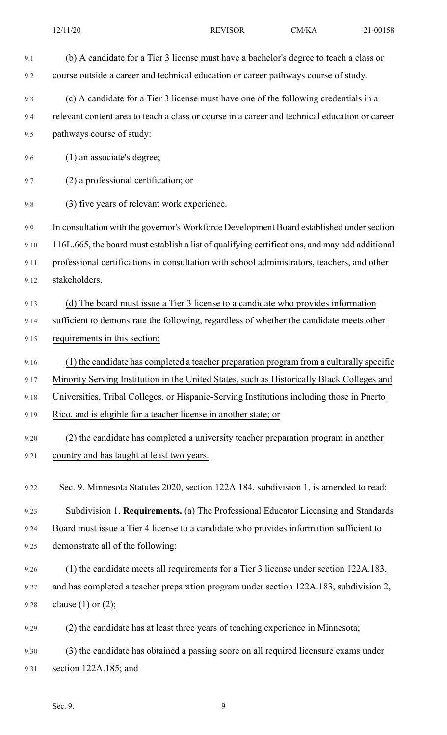| 9.1  | (b) A candidate for a Tier 3 license must have a bachelor's degree to teach a class or         |
|------|------------------------------------------------------------------------------------------------|
| 9.2  | course outside a career and technical education or career pathways course of study.            |
| 9.3  | (c) A candidate for a Tier 3 license must have one of the following credentials in a           |
| 9.4  | relevant content area to teach a class or course in a career and technical education or career |
| 9.5  | pathways course of study:                                                                      |
| 9.6  | (1) an associate's degree;                                                                     |
| 9.7  | (2) a professional certification; or                                                           |
| 9.8  | (3) five years of relevant work experience.                                                    |
| 9.9  | In consultation with the governor's Workforce Development Board established under section      |
| 9.10 | 116L.665, the board must establish a list of qualifying certifications, and may add additional |
| 9.11 | professional certifications in consultation with school administrators, teachers, and other    |
| 9.12 | stakeholders.                                                                                  |
| 9.13 | (d) The board must issue a Tier 3 license to a candidate who provides information              |
| 9.14 | sufficient to demonstrate the following, regardless of whether the candidate meets other       |
| 9.15 | requirements in this section:                                                                  |
| 9.16 | (1) the candidate has completed a teacher preparation program from a culturally specific       |
| 9.17 | Minority Serving Institution in the United States, such as Historically Black Colleges and     |
| 9.18 | Universities, Tribal Colleges, or Hispanic-Serving Institutions including those in Puerto      |
| 9.19 | Rico, and is eligible for a teacher license in another state; or                               |
| 9.20 | (2) the candidate has completed a university teacher preparation program in another            |
| 9.21 | country and has taught at least two years.                                                     |
| 9.22 | Sec. 9. Minnesota Statutes 2020, section 122A.184, subdivision 1, is amended to read:          |
| 9.23 | Subdivision 1. Requirements. (a) The Professional Educator Licensing and Standards             |
| 9.24 | Board must issue a Tier 4 license to a candidate who provides information sufficient to        |
| 9.25 | demonstrate all of the following:                                                              |
| 9.26 | (1) the candidate meets all requirements for a Tier 3 license under section 122A.183,          |
| 9.27 | and has completed a teacher preparation program under section 122A.183, subdivision 2,         |
| 9.28 | clause $(1)$ or $(2)$ ;                                                                        |
| 9.29 | (2) the candidate has at least three years of teaching experience in Minnesota;                |
| 9.30 | (3) the candidate has obtained a passing score on all required licensure exams under           |
| 9.31 | section 122A.185; and                                                                          |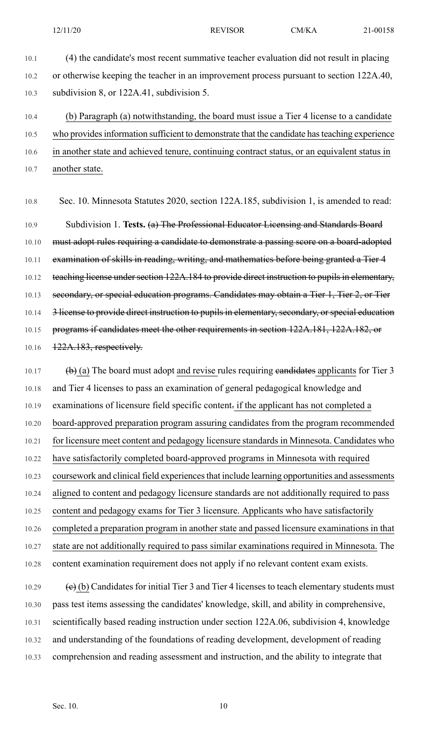10.1 (4) the candidate's most recent summative teacher evaluation did not result in placing 10.2 or otherwise keeping the teacher in an improvement process pursuant to section 122A.40, 10.3 subdivision 8, or 122A.41, subdivision 5.

10.4 (b) Paragraph (a) notwithstanding, the board must issue a Tier 4 license to a candidate 10.5 who provides information sufficient to demonstrate that the candidate has teaching experience 10.6 in another state and achieved tenure, continuing contract status, or an equivalent status in 10.7 another state.

10.8 Sec. 10. Minnesota Statutes 2020, section 122A.185, subdivision 1, is amended to read:

10.9 Subdivision 1. **Tests.** (a) The Professional Educator Licensing and Standards Board 10.10 must adopt rules requiring a candidate to demonstrate a passing score on a board-adopted 10.11 examination of skills in reading, writing, and mathematics before being granted a Tier 4 10.12 teaching license under section 122A.184 to provide direct instruction to pupils in elementary, 10.13 secondary, or special education programs. Candidates may obtain a Tier 1, Tier 2, or Tier 10.14 3 license to provide direct instruction to pupils in elementary, secondary, or special education 10.15 programs if candidates meet the other requirements in section 122A.181, 122A.182, or 10.16 122A.183, respectively.

10.17  $\left(\frac{b}{c}\right)$  (a) The board must adopt and revise rules requiring eandidates applicants for Tier 3 10.18 and Tier 4 licenses to pass an examination of general pedagogical knowledge and 10.19 examinations of licensure field specific content. if the applicant has not completed a 10.20 board-approved preparation program assuring candidates from the program recommended 10.21 for licensure meet content and pedagogy licensure standards in Minnesota. Candidates who 10.22 have satisfactorily completed board-approved programs in Minnesota with required 10.23 coursework and clinical field experiencesthat include learning opportunities and assessments 10.24 aligned to content and pedagogy licensure standards are not additionally required to pass 10.25 content and pedagogy exams for Tier 3 licensure. Applicants who have satisfactorily 10.26 completed a preparation program in another state and passed licensure examinations in that 10.27 state are not additionally required to pass similar examinations required in Minnesota. The 10.28 content examination requirement does not apply if no relevant content exam exists.

10.29  $\left(\mathbf{e}\right)$  (b) Candidates for initial Tier 3 and Tier 4 licenses to teach elementary students must 10.30 pass test items assessing the candidates' knowledge, skill, and ability in comprehensive, 10.31 scientifically based reading instruction under section 122A.06, subdivision 4, knowledge 10.32 and understanding of the foundations of reading development, development of reading 10.33 comprehension and reading assessment and instruction, and the ability to integrate that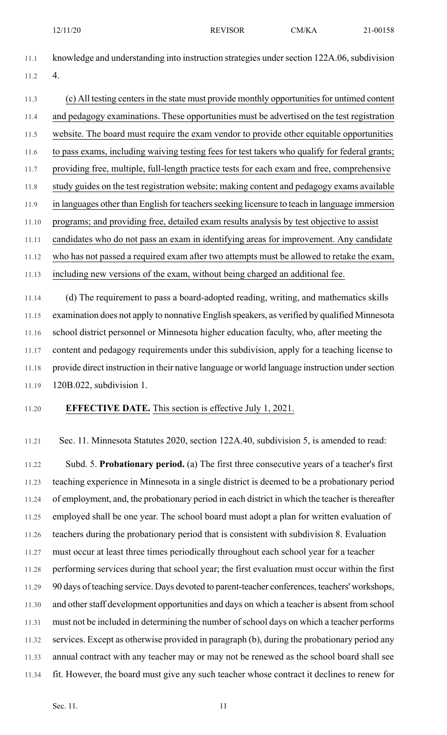- 11.1 knowledge and understanding into instruction strategies under section 122A.06, subdivision 11.2 4.
- 11.3 (c) All testing centers in the state must provide monthly opportunities for untimed content 11.4 and pedagogy examinations. These opportunities must be advertised on the test registration 11.5 website. The board must require the exam vendor to provide other equitable opportunities 11.6 to pass exams, including waiving testing fees for test takers who qualify for federal grants; 11.7 providing free, multiple, full-length practice tests for each exam and free, comprehensive 11.8 study guides on the test registration website; making content and pedagogy exams available 11.9 in languages other than English for teachers seeking licensure to teach in language immersion 11.10 programs; and providing free, detailed exam results analysis by test objective to assist 11.11 candidates who do not pass an exam in identifying areas for improvement. Any candidate 11.12 who has not passed a required exam after two attempts must be allowed to retake the exam, 11.13 including new versions of the exam, without being charged an additional fee.
- 11.14 (d) The requirement to pass a board-adopted reading, writing, and mathematics skills 11.15 examination does not apply to nonnative English speakers, as verified by qualified Minnesota 11.16 school district personnel or Minnesota higher education faculty, who, after meeting the 11.17 content and pedagogy requirements under this subdivision, apply for a teaching license to 11.18 provide direct instruction in their native language or world language instruction undersection 11.19 120B.022, subdivision 1.
- 11.20 **EFFECTIVE DATE.** This section is effective July 1, 2021.
- 11.21 Sec. 11. Minnesota Statutes 2020, section 122A.40, subdivision 5, is amended to read:

11.22 Subd. 5. **Probationary period.** (a) The first three consecutive years of a teacher's first 11.23 teaching experience in Minnesota in a single district is deemed to be a probationary period 11.24 of employment, and, the probationary period in each district in which the teacher is thereafter 11.25 employed shall be one year. The school board must adopt a plan for written evaluation of 11.26 teachers during the probationary period that is consistent with subdivision 8. Evaluation 11.27 must occur at least three times periodically throughout each school year for a teacher 11.28 performing services during that school year; the first evaluation must occur within the first 11.29 90 days of teaching service. Days devoted to parent-teacher conferences, teachers' workshops, 11.30 and other staff development opportunities and days on which a teacher is absent from school 11.31 must not be included in determining the number ofschool days on which a teacher performs 11.32 services. Except as otherwise provided in paragraph (b), during the probationary period any 11.33 annual contract with any teacher may or may not be renewed as the school board shall see 11.34 fit. However, the board must give any such teacher whose contract it declines to renew for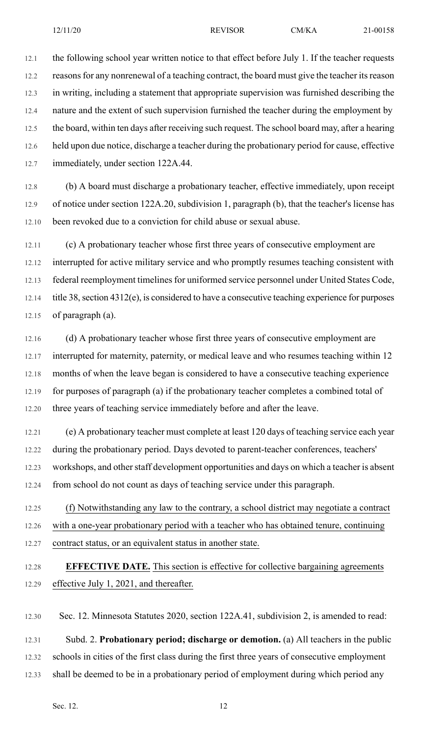12.1 the following school year written notice to that effect before July 1. If the teacher requests 12.2 reasonsfor any nonrenewal of a teaching contract, the board must give the teacher itsreason 12.3 in writing, including a statement that appropriate supervision was furnished describing the 12.4 nature and the extent of such supervision furnished the teacher during the employment by 12.5 the board, within ten days after receiving such request. The school board may, after a hearing 12.6 held upon due notice, discharge a teacher during the probationary period for cause, effective 12.7 immediately, under section 122A.44.

12.8 (b) A board must discharge a probationary teacher, effective immediately, upon receipt 12.9 of notice under section 122A.20, subdivision 1, paragraph (b), that the teacher's license has 12.10 been revoked due to a conviction for child abuse or sexual abuse.

12.11 (c) A probationary teacher whose first three years of consecutive employment are 12.12 interrupted for active military service and who promptly resumes teaching consistent with 12.13 federal reemployment timelines for uniformed service personnel under United States Code, 12.14 title 38, section 4312(e), is considered to have a consecutive teaching experience for purposes 12.15 of paragraph (a).

12.16 (d) A probationary teacher whose first three years of consecutive employment are 12.17 interrupted for maternity, paternity, or medical leave and who resumes teaching within 12 12.18 months of when the leave began is considered to have a consecutive teaching experience 12.19 for purposes of paragraph (a) if the probationary teacher completes a combined total of 12.20 three years of teaching service immediately before and after the leave.

12.21 (e) A probationary teacher must complete at least 120 days of teaching service each year 12.22 during the probationary period. Days devoted to parent-teacher conferences, teachers' 12.23 workshops, and other staff development opportunities and days on which a teacher is absent 12.24 from school do not count as days of teaching service under this paragraph.

12.25 (f) Notwithstanding any law to the contrary, a school district may negotiate a contract 12.26 with a one-year probationary period with a teacher who has obtained tenure, continuing 12.27 contract status, or an equivalent status in another state.

# 12.28 **EFFECTIVE DATE.** This section is effective for collective bargaining agreements 12.29 effective July 1, 2021, and thereafter.

12.30 Sec. 12. Minnesota Statutes 2020, section 122A.41, subdivision 2, is amended to read:

12.31 Subd. 2. **Probationary period; discharge or demotion.** (a) All teachers in the public 12.32 schools in cities of the first class during the first three years of consecutive employment 12.33 shall be deemed to be in a probationary period of employment during which period any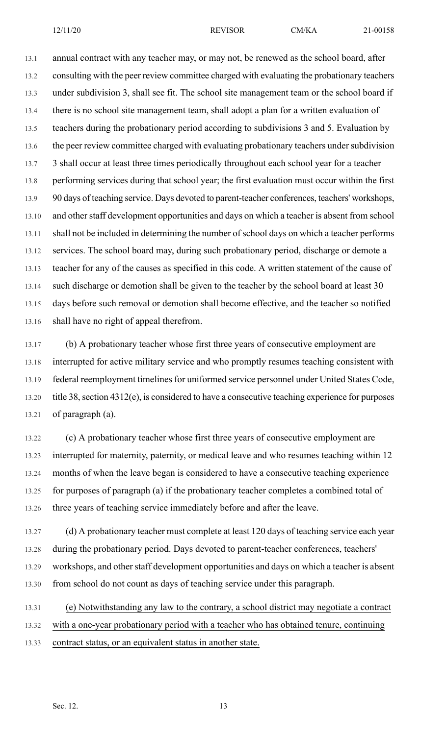12/11/20 REVISOR CM/KA 21-00158

13.1 annual contract with any teacher may, or may not, be renewed as the school board, after 13.2 consulting with the peer review committee charged with evaluating the probationary teachers 13.3 under subdivision 3, shall see fit. The school site management team or the school board if 13.4 there is no school site management team, shall adopt a plan for a written evaluation of 13.5 teachers during the probationary period according to subdivisions 3 and 5. Evaluation by 13.6 the peer review committee charged with evaluating probationary teachers under subdivision 13.7 3 shall occur at least three times periodically throughout each school year for a teacher 13.8 performing services during that school year; the first evaluation must occur within the first 13.9 90 days of teaching service. Days devoted to parent-teacher conferences, teachers' workshops, 13.10 and other staff development opportunities and days on which a teacher is absent from school 13.11 shall not be included in determining the number of school days on which a teacher performs 13.12 services. The school board may, during such probationary period, discharge or demote a 13.13 teacher for any of the causes as specified in this code. A written statement of the cause of 13.14 such discharge or demotion shall be given to the teacher by the school board at least 30 13.15 days before such removal or demotion shall become effective, and the teacher so notified 13.16 shall have no right of appeal therefrom.

13.17 (b) A probationary teacher whose first three years of consecutive employment are 13.18 interrupted for active military service and who promptly resumes teaching consistent with 13.19 federal reemployment timelines for uniformed service personnel under United States Code, 13.20 title 38, section  $4312(e)$ , is considered to have a consecutive teaching experience for purposes 13.21 of paragraph (a).

13.22 (c) A probationary teacher whose first three years of consecutive employment are 13.23 interrupted for maternity, paternity, or medical leave and who resumes teaching within 12 13.24 months of when the leave began is considered to have a consecutive teaching experience 13.25 for purposes of paragraph (a) if the probationary teacher completes a combined total of 13.26 three years of teaching service immediately before and after the leave.

13.27 (d) A probationary teacher must complete at least 120 days of teaching service each year 13.28 during the probationary period. Days devoted to parent-teacher conferences, teachers' 13.29 workshops, and other staff development opportunities and days on which a teacher is absent 13.30 from school do not count as days of teaching service under this paragraph.

13.31 (e) Notwithstanding any law to the contrary, a school district may negotiate a contract 13.32 with a one-year probationary period with a teacher who has obtained tenure, continuing 13.33 contract status, or an equivalent status in another state.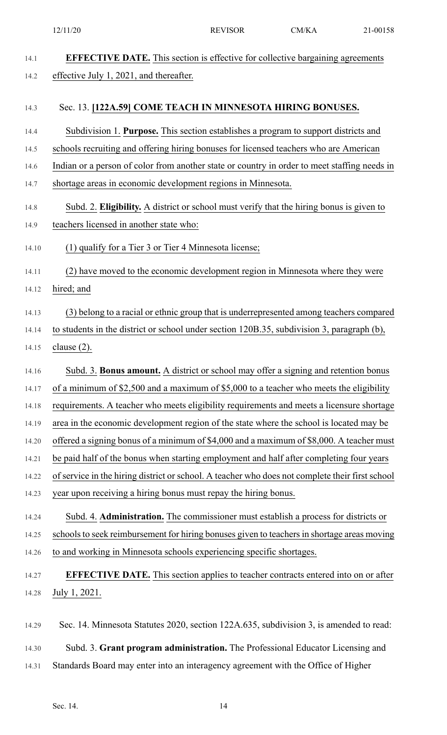12/11/20 REVISOR CM/KA 21-00158

| 14.1  | <b>EFFECTIVE DATE.</b> This section is effective for collective bargaining agreements           |
|-------|-------------------------------------------------------------------------------------------------|
| 14.2  | effective July 1, 2021, and thereafter.                                                         |
| 14.3  | Sec. 13. [122A.59] COME TEACH IN MINNESOTA HIRING BONUSES.                                      |
| 14.4  | Subdivision 1. Purpose. This section establishes a program to support districts and             |
| 14.5  | schools recruiting and offering hiring bonuses for licensed teachers who are American           |
| 14.6  | Indian or a person of color from another state or country in order to meet staffing needs in    |
| 14.7  | shortage areas in economic development regions in Minnesota.                                    |
| 14.8  | Subd. 2. Eligibility. A district or school must verify that the hiring bonus is given to        |
| 14.9  | teachers licensed in another state who:                                                         |
| 14.10 | (1) qualify for a Tier 3 or Tier 4 Minnesota license;                                           |
| 14.11 | (2) have moved to the economic development region in Minnesota where they were                  |
| 14.12 | hired; and                                                                                      |
| 14.13 | (3) belong to a racial or ethnic group that is underrepresented among teachers compared         |
| 14.14 | to students in the district or school under section 120B.35, subdivision 3, paragraph (b),      |
| 14.15 | clause $(2)$ .                                                                                  |
| 14.16 | Subd. 3. Bonus amount. A district or school may offer a signing and retention bonus             |
| 14.17 | of a minimum of $$2,500$ and a maximum of $$5,000$ to a teacher who meets the eligibility       |
| 14.18 | requirements. A teacher who meets eligibility requirements and meets a licensure shortage       |
| 14.19 | area in the economic development region of the state where the school is located may be         |
| 14.20 | offered a signing bonus of a minimum of \$4,000 and a maximum of \$8,000. A teacher must        |
| 14.21 | be paid half of the bonus when starting employment and half after completing four years         |
| 14.22 |                                                                                                 |
|       | of service in the hiring district or school. A teacher who does not complete their first school |
| 14.23 | year upon receiving a hiring bonus must repay the hiring bonus.                                 |
| 14.24 | Subd. 4. Administration. The commissioner must establish a process for districts or             |
| 14.25 | schools to seek reimbursement for hiring bonuses given to teachers in shortage areas moving     |
| 14.26 | to and working in Minnesota schools experiencing specific shortages.                            |
| 14.27 | <b>EFFECTIVE DATE.</b> This section applies to teacher contracts entered into on or after       |
| 14.28 | July 1, 2021.                                                                                   |
|       |                                                                                                 |
| 14.29 | Sec. 14. Minnesota Statutes 2020, section 122A.635, subdivision 3, is amended to read:          |
| 14.30 | Subd. 3. Grant program administration. The Professional Educator Licensing and                  |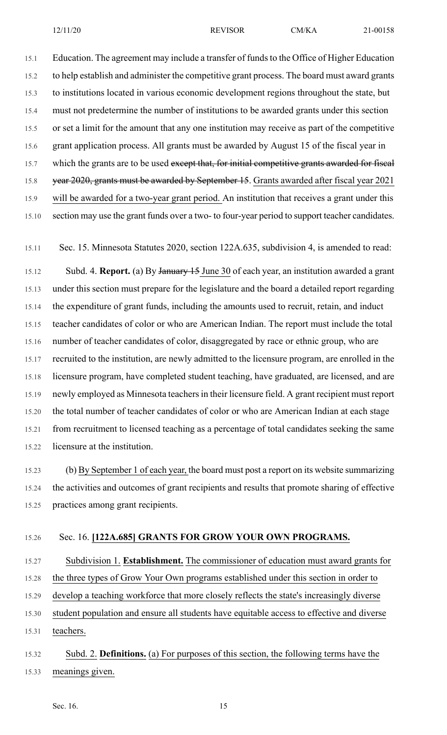15.1 Education. The agreement may include a transfer of funds to the Office of Higher Education 15.2 to help establish and administer the competitive grant process. The board must award grants 15.3 to institutions located in various economic development regions throughout the state, but 15.4 must not predetermine the number of institutions to be awarded grants under this section 15.5 or set a limit for the amount that any one institution may receive as part of the competitive 15.6 grant application process. All grants must be awarded by August 15 of the fiscal year in 15.7 which the grants are to be used except that, for initial competitive grants awarded for fiscal 15.8 year 2020, grants must be awarded by September 15. Grants awarded after fiscal year 2021 15.9 will be awarded for a two-year grant period. An institution that receives a grant under this 15.10 section may use the grant funds over a two- to four-year period to support teacher candidates.

15.11 Sec. 15. Minnesota Statutes 2020, section 122A.635, subdivision 4, is amended to read:

15.12 Subd. 4. **Report.** (a) By January 15 June 30 of each year, an institution awarded a grant 15.13 under this section must prepare for the legislature and the board a detailed report regarding 15.14 the expenditure of grant funds, including the amounts used to recruit, retain, and induct 15.15 teacher candidates of color or who are American Indian. The report must include the total 15.16 number of teacher candidates of color, disaggregated by race or ethnic group, who are 15.17 recruited to the institution, are newly admitted to the licensure program, are enrolled in the 15.18 licensure program, have completed student teaching, have graduated, are licensed, and are 15.19 newly employed as Minnesota teachers in their licensure field. A grant recipient must report 15.20 the total number of teacher candidates of color or who are American Indian at each stage 15.21 from recruitment to licensed teaching as a percentage of total candidates seeking the same 15.22 licensure at the institution.

15.23 (b) By September 1 of each year, the board must post a report on its website summarizing 15.24 the activities and outcomes of grant recipients and results that promote sharing of effective 15.25 practices among grant recipients.

### 15.26 Sec. 16. **[122A.685] GRANTS FOR GROW YOUR OWN PROGRAMS.**

15.27 Subdivision 1. **Establishment.** The commissioner of education must award grants for 15.28 the three types of Grow Your Own programs established under this section in order to 15.29 develop a teaching workforce that more closely reflects the state's increasingly diverse 15.30 student population and ensure all students have equitable access to effective and diverse 15.31 teachers.

15.32 Subd. 2. **Definitions.** (a) For purposes of this section, the following terms have the 15.33 meanings given.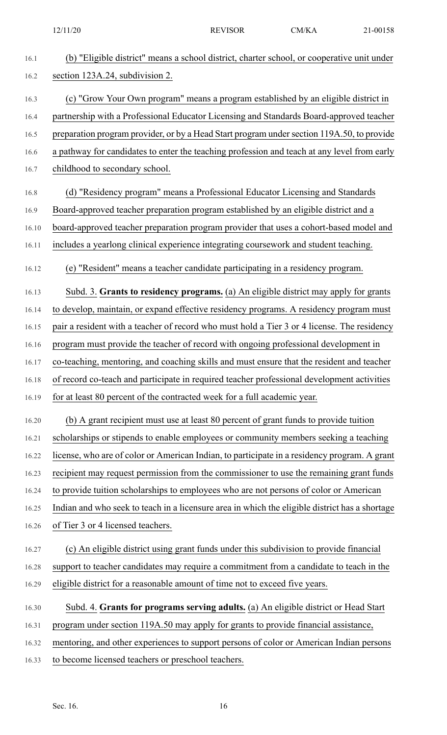12/11/20 REVISOR CM/KA 21-00158

| 16.1  | (b) "Eligible district" means a school district, charter school, or cooperative unit under     |
|-------|------------------------------------------------------------------------------------------------|
| 16.2  | section 123A.24, subdivision 2.                                                                |
| 16.3  | (c) "Grow Your Own program" means a program established by an eligible district in             |
| 16.4  | partnership with a Professional Educator Licensing and Standards Board-approved teacher        |
| 16.5  | preparation program provider, or by a Head Start program under section 119A.50, to provide     |
| 16.6  | a pathway for candidates to enter the teaching profession and teach at any level from early    |
| 16.7  | childhood to secondary school.                                                                 |
| 16.8  | (d) "Residency program" means a Professional Educator Licensing and Standards                  |
| 16.9  | Board-approved teacher preparation program established by an eligible district and a           |
| 16.10 | board-approved teacher preparation program provider that uses a cohort-based model and         |
| 16.11 | includes a yearlong clinical experience integrating coursework and student teaching.           |
| 16.12 | (e) "Resident" means a teacher candidate participating in a residency program.                 |
| 16.13 | Subd. 3. Grants to residency programs. (a) An eligible district may apply for grants           |
| 16.14 | to develop, maintain, or expand effective residency programs. A residency program must         |
| 16.15 | pair a resident with a teacher of record who must hold a Tier 3 or 4 license. The residency    |
| 16.16 | program must provide the teacher of record with ongoing professional development in            |
| 16.17 | co-teaching, mentoring, and coaching skills and must ensure that the resident and teacher      |
| 16.18 | of record co-teach and participate in required teacher professional development activities     |
| 16.19 | for at least 80 percent of the contracted week for a full academic year.                       |
| 16.20 | (b) A grant recipient must use at least 80 percent of grant funds to provide tuition           |
| 16.21 | scholarships or stipends to enable employees or community members seeking a teaching           |
| 16.22 | license, who are of color or American Indian, to participate in a residency program. A grant   |
| 16.23 | recipient may request permission from the commissioner to use the remaining grant funds        |
| 16.24 | to provide tuition scholarships to employees who are not persons of color or American          |
| 16.25 | Indian and who seek to teach in a licensure area in which the eligible district has a shortage |
| 16.26 | of Tier 3 or 4 licensed teachers.                                                              |
| 16.27 | (c) An eligible district using grant funds under this subdivision to provide financial         |
| 16.28 | support to teacher candidates may require a commitment from a candidate to teach in the        |
| 16.29 | eligible district for a reasonable amount of time not to exceed five years.                    |
| 16.30 | Subd. 4. Grants for programs serving adults. (a) An eligible district or Head Start            |
| 16.31 | program under section 119A.50 may apply for grants to provide financial assistance,            |
| 16.32 | mentoring, and other experiences to support persons of color or American Indian persons        |
| 16.33 | to become licensed teachers or preschool teachers.                                             |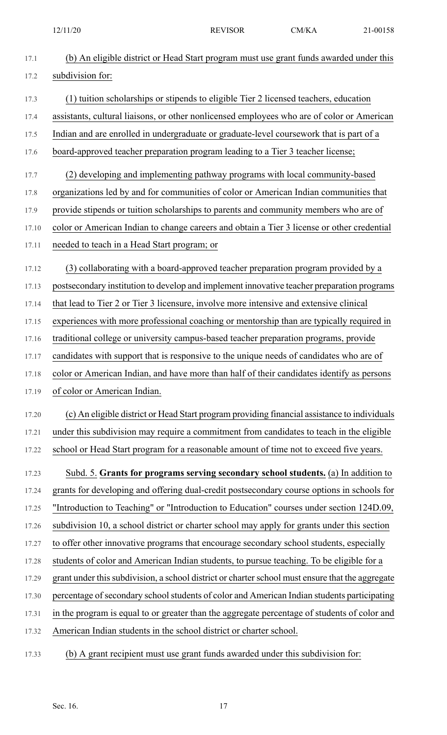12/11/20 REVISOR CM/KA 21-00158

| 17.1  | (b) An eligible district or Head Start program must use grant funds awarded under this           |
|-------|--------------------------------------------------------------------------------------------------|
| 17.2  | subdivision for:                                                                                 |
| 17.3  | (1) tuition scholarships or stipends to eligible Tier 2 licensed teachers, education             |
| 17.4  | assistants, cultural liaisons, or other nonlicensed employees who are of color or American       |
| 17.5  | Indian and are enrolled in undergraduate or graduate-level coursework that is part of a          |
| 17.6  | board-approved teacher preparation program leading to a Tier 3 teacher license;                  |
| 17.7  | (2) developing and implementing pathway programs with local community-based                      |
| 17.8  | organizations led by and for communities of color or American Indian communities that            |
| 17.9  | provide stipends or tuition scholarships to parents and community members who are of             |
| 17.10 | color or American Indian to change careers and obtain a Tier 3 license or other credential       |
| 17.11 | needed to teach in a Head Start program; or                                                      |
| 17.12 | (3) collaborating with a board-approved teacher preparation program provided by a                |
| 17.13 | postsecondary institution to develop and implement innovative teacher preparation programs       |
| 17.14 | that lead to Tier 2 or Tier 3 licensure, involve more intensive and extensive clinical           |
| 17.15 | experiences with more professional coaching or mentorship than are typically required in         |
| 17.16 | traditional college or university campus-based teacher preparation programs, provide             |
| 17.17 | candidates with support that is responsive to the unique needs of candidates who are of          |
| 17.18 | color or American Indian, and have more than half of their candidates identify as persons        |
| 17.19 | of color or American Indian.                                                                     |
| 17.20 | (c) An eligible district or Head Start program providing financial assistance to individuals     |
| 17.21 | under this subdivision may require a commitment from candidates to teach in the eligible         |
| 17.22 | school or Head Start program for a reasonable amount of time not to exceed five years.           |
| 17.23 | Subd. 5. Grants for programs serving secondary school students. (a) In addition to               |
| 17.24 | grants for developing and offering dual-credit postsecondary course options in schools for       |
| 17.25 | "Introduction to Teaching" or "Introduction to Education" courses under section 124D.09,         |
| 17.26 | subdivision 10, a school district or charter school may apply for grants under this section      |
| 17.27 | to offer other innovative programs that encourage secondary school students, especially          |
| 17.28 | students of color and American Indian students, to pursue teaching. To be eligible for a         |
| 17.29 | grant under this subdivision, a school district or charter school must ensure that the aggregate |
| 17.30 | percentage of secondary school students of color and American Indian students participating      |
| 17.31 | in the program is equal to or greater than the aggregate percentage of students of color and     |
| 17.32 | American Indian students in the school district or charter school.                               |
| 17.33 | (b) A grant recipient must use grant funds awarded under this subdivision for:                   |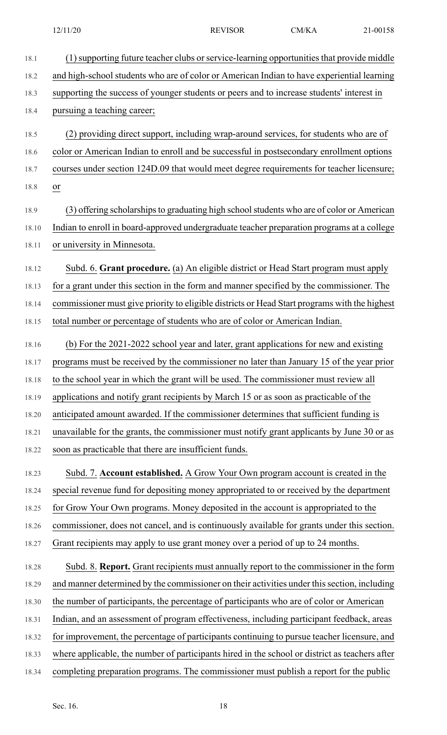- 18.1 (1) supporting future teacher clubs or service-learning opportunities that provide middle 18.2 and high-school students who are of color or American Indian to have experiential learning 18.3 supporting the success of younger students or peers and to increase students' interest in 18.4 pursuing a teaching career; 18.5 (2) providing direct support, including wrap-around services, for students who are of 18.6 color or American Indian to enroll and be successful in postsecondary enrollment options 18.7 courses under section 124D.09 that would meet degree requirements for teacher licensure; 18.8 or 18.9 (3) offering scholarships to graduating high school students who are of color or American 18.10 Indian to enroll in board-approved undergraduate teacher preparation programs at a college 18.11 or university in Minnesota. 18.12 Subd. 6. **Grant procedure.** (a) An eligible district or Head Start program must apply 18.13 for a grant under this section in the form and manner specified by the commissioner. The 18.14 commissioner must give priority to eligible districts or Head Start programs with the highest 18.15 total number or percentage of students who are of color or American Indian. 18.16 (b) For the 2021-2022 school year and later, grant applications for new and existing 18.17 programs must be received by the commissioner no later than January 15 of the year prior 18.18 to the school year in which the grant will be used. The commissioner must review all 18.19 applications and notify grant recipients by March 15 or as soon as practicable of the 18.20 anticipated amount awarded. If the commissioner determines that sufficient funding is 18.21 unavailable for the grants, the commissioner must notify grant applicants by June 30 or as 18.22 soon as practicable that there are insufficient funds. 18.23 Subd. 7. **Account established.** A Grow Your Own program account is created in the 18.24 special revenue fund for depositing money appropriated to or received by the department 18.25 for Grow Your Own programs. Money deposited in the account is appropriated to the 18.26 commissioner, does not cancel, and is continuously available for grants under this section. 18.27 Grant recipients may apply to use grant money over a period of up to 24 months. 18.28 Subd. 8. **Report.** Grant recipients must annually report to the commissioner in the form 18.29 and manner determined by the commissioner on their activities under this section, including 18.30 the number of participants, the percentage of participants who are of color or American 18.31 Indian, and an assessment of program effectiveness, including participant feedback, areas 18.32 for improvement, the percentage of participants continuing to pursue teacher licensure, and 18.33 where applicable, the number of participants hired in the school or district as teachers after 18.34 completing preparation programs. The commissioner must publish a report for the public
	- Sec. 16. 18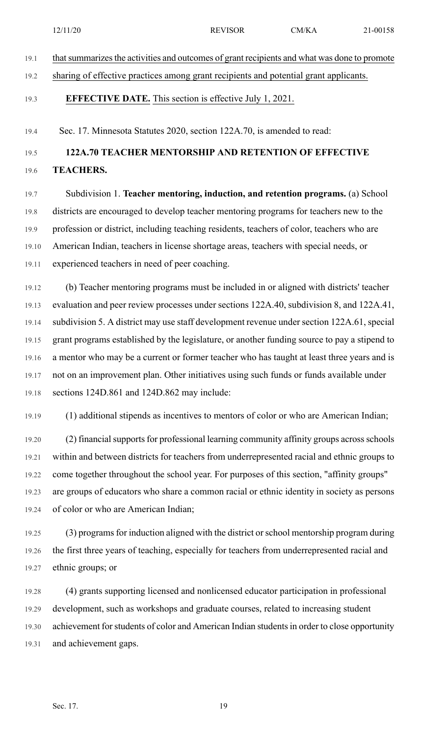- 19.1 that summarizes the activities and outcomes of grant recipients and what was done to promote
- 19.2 sharing of effective practices among grant recipients and potential grant applicants.

## 19.3 **EFFECTIVE DATE.** This section is effective July 1, 2021.

19.4 Sec. 17. Minnesota Statutes 2020, section 122A.70, is amended to read:

# 19.5 **122A.70 TEACHER MENTORSHIP AND RETENTION OF EFFECTIVE** 19.6 **TEACHERS.**

19.7 Subdivision 1. **Teacher mentoring, induction, and retention programs.** (a) School 19.8 districts are encouraged to develop teacher mentoring programs for teachers new to the 19.9 profession or district, including teaching residents, teachers of color, teachers who are 19.10 American Indian, teachers in license shortage areas, teachers with special needs, or 19.11 experienced teachers in need of peer coaching.

19.12 (b) Teacher mentoring programs must be included in or aligned with districts' teacher 19.13 evaluation and peer review processes under sections 122A.40, subdivision 8, and 122A.41, 19.14 subdivision 5. A district may use staff development revenue under section 122A.61, special 19.15 grant programs established by the legislature, or another funding source to pay a stipend to 19.16 a mentor who may be a current or former teacher who has taught at least three years and is 19.17 not on an improvement plan. Other initiatives using such funds or funds available under 19.18 sections 124D.861 and 124D.862 may include:

19.19 (1) additional stipends as incentives to mentors of color or who are American Indian;

19.20 (2) financial supports for professional learning community affinity groups across schools 19.21 within and between districts for teachers from underrepresented racial and ethnic groups to 19.22 come together throughout the school year. For purposes of this section, "affinity groups" 19.23 are groups of educators who share a common racial or ethnic identity in society as persons 19.24 of color or who are American Indian;

19.25 (3) programs for induction aligned with the district or school mentorship program during 19.26 the first three years of teaching, especially for teachers from underrepresented racial and 19.27 ethnic groups; or

19.28 (4) grants supporting licensed and nonlicensed educator participation in professional 19.29 development, such as workshops and graduate courses, related to increasing student 19.30 achievement for students of color and American Indian students in order to close opportunity 19.31 and achievement gaps.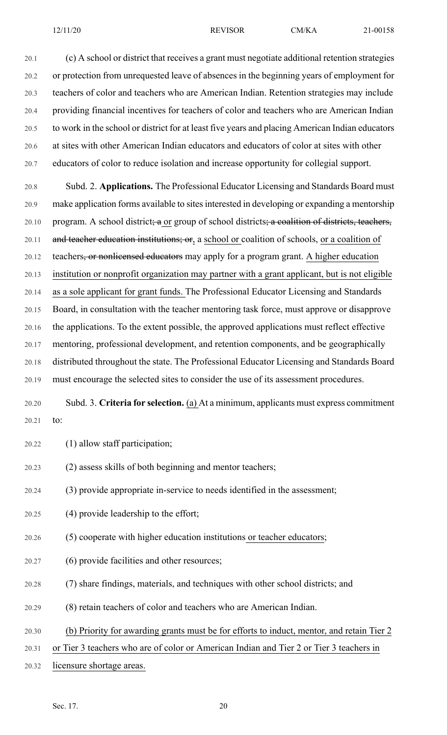20.1 (c) A school or district that receives a grant must negotiate additional retention strategies 20.2 or protection from unrequested leave of absences in the beginning years of employment for 20.3 teachers of color and teachers who are American Indian. Retention strategies may include 20.4 providing financial incentives for teachers of color and teachers who are American Indian 20.5 to work in the school or district for at least five years and placing American Indian educators 20.6 at sites with other American Indian educators and educators of color at sites with other 20.7 educators of color to reduce isolation and increase opportunity for collegial support.

20.8 Subd. 2. **Applications.** The Professional Educator Licensing and Standards Board must 20.9 make application forms available to sitesinterested in developing or expanding a mentorship 20.10 program. A school district; a or group of school districts; a coalition of districts, teachers, 20.11 and teacher education institutions; or, a school or coalition of schools, or a coalition of 20.12 teachers, or nonlicensed educators may apply for a program grant. A higher education 20.13 institution or nonprofit organization may partner with a grant applicant, but is not eligible 20.14 as a sole applicant for grant funds. The Professional Educator Licensing and Standards 20.15 Board, in consultation with the teacher mentoring task force, must approve or disapprove 20.16 the applications. To the extent possible, the approved applications must reflect effective 20.17 mentoring, professional development, and retention components, and be geographically 20.18 distributed throughout the state. The Professional Educator Licensing and Standards Board 20.19 must encourage the selected sites to consider the use of its assessment procedures.

- 20.20 Subd. 3. **Criteria for selection.** (a) At a minimum, applicants must express commitment 20.21 to:
- 20.22 (1) allow staff participation;
- 20.23 (2) assess skills of both beginning and mentor teachers;
- 20.24 (3) provide appropriate in-service to needs identified in the assessment;
- 20.25 (4) provide leadership to the effort;
- 20.26 (5) cooperate with higher education institutions or teacher educators;
- 20.27 (6) provide facilities and other resources;
- 20.28 (7) share findings, materials, and techniques with other school districts; and
- 20.29 (8) retain teachers of color and teachers who are American Indian.
- 20.30 (b) Priority for awarding grants must be for efforts to induct, mentor, and retain Tier 2
- 20.31 or Tier 3 teachers who are of color or American Indian and Tier 2 or Tier 3 teachers in
- 20.32 licensure shortage areas.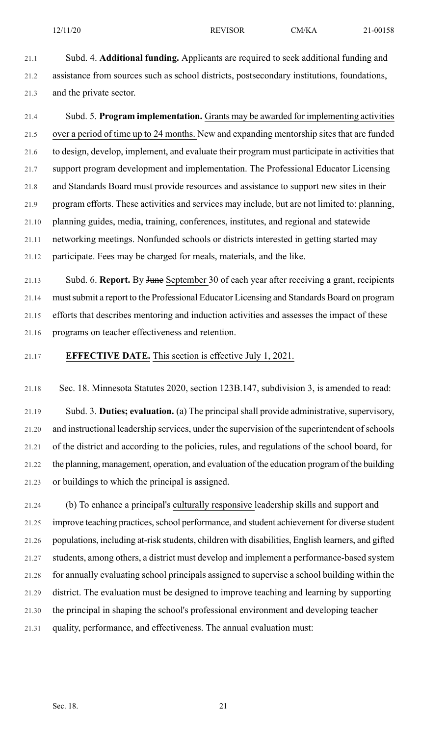21.1 Subd. 4. **Additional funding.** Applicants are required to seek additional funding and 21.2 assistance from sources such as school districts, postsecondary institutions, foundations, 21.3 and the private sector.

21.4 Subd. 5. **Program implementation.** Grants may be awarded for implementing activities 21.5 over a period of time up to 24 months. New and expanding mentorship sites that are funded 21.6 to design, develop, implement, and evaluate their program must participate in activities that 21.7 support program development and implementation. The Professional Educator Licensing 21.8 and Standards Board must provide resources and assistance to support new sites in their 21.9 program efforts. These activities and services may include, but are not limited to: planning, 21.10 planning guides, media, training, conferences, institutes, and regional and statewide 21.11 networking meetings. Nonfunded schools or districts interested in getting started may 21.12 participate. Fees may be charged for meals, materials, and the like.

21.13 Subd. 6. **Report.** By June September 30 of each year after receiving a grant, recipients 21.14 must submit a report to the Professional Educator Licensing and Standards Board on program 21.15 efforts that describes mentoring and induction activities and assesses the impact of these 21.16 programs on teacher effectiveness and retention.

21.17 **EFFECTIVE DATE.** This section is effective July 1, 2021.

21.18 Sec. 18. Minnesota Statutes 2020, section 123B.147, subdivision 3, is amended to read:

21.19 Subd. 3. Duties; evaluation. (a) The principal shall provide administrative, supervisory, 21.20 and instructional leadership services, under the supervision of the superintendent of schools 21.21 of the district and according to the policies, rules, and regulations of the school board, for 21.22 the planning, management, operation, and evaluation of the education program of the building 21.23 or buildings to which the principal is assigned.

21.24 (b) To enhance a principal's culturally responsive leadership skills and support and 21.25 improve teaching practices, school performance, and student achievement for diverse student 21.26 populations, including at-risk students, children with disabilities, English learners, and gifted 21.27 students, among others, a district must develop and implement a performance-based system 21.28 for annually evaluating school principals assigned to supervise a school building within the 21.29 district. The evaluation must be designed to improve teaching and learning by supporting 21.30 the principal in shaping the school's professional environment and developing teacher 21.31 quality, performance, and effectiveness. The annual evaluation must: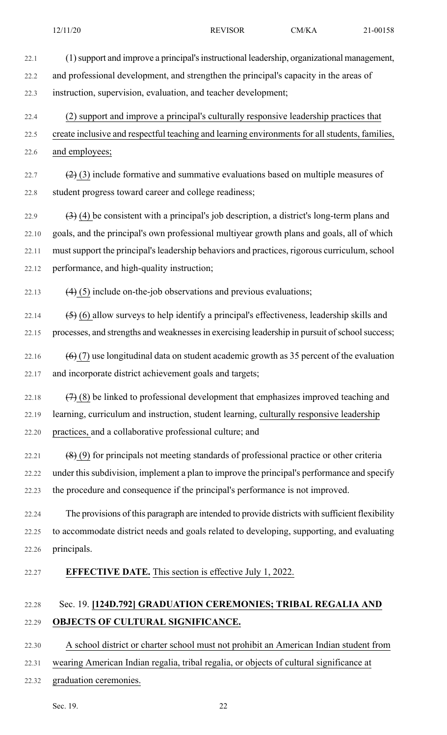22.6 and employees; 22.7  $(2)$  (3) include formative and summative evaluations based on multiple measures of 22.8 student progress toward career and college readiness; 22.9  $(3)$  (4) be consistent with a principal's job description, a district's long-term plans and 22.10 goals, and the principal's own professional multiyear growth plans and goals, all of which 22.11 must support the principal's leadership behaviors and practices, rigorous curriculum, school 22.12 performance, and high-quality instruction; 22.13  $(4)(5)$  include on-the-job observations and previous evaluations; 22.14  $(5)$  (6) allow surveys to help identify a principal's effectiveness, leadership skills and 22.15 processes, and strengths and weaknesses in exercising leadership in pursuit of school success; 22.16  $(6)(7)$  use longitudinal data on student academic growth as 35 percent of the evaluation 22.17 and incorporate district achievement goals and targets; 22.18  $(7)$  (8) be linked to professional development that emphasizes improved teaching and 22.19 learning, curriculum and instruction, student learning, culturally responsive leadership 22.20 practices, and a collaborative professional culture; and 22.21  $(8)(9)$  for principals not meeting standards of professional practice or other criteria 22.22 under this subdivision, implement a plan to improve the principal's performance and specify 22.23 the procedure and consequence if the principal's performance is not improved. 22.24 The provisions of this paragraph are intended to provide districts with sufficient flexibility 22.25 to accommodate district needs and goals related to developing, supporting, and evaluating 22.26 principals. 22.27 **EFFECTIVE DATE.** This section is effective July 1, 2022.

# 22.28 Sec. 19. **[124D.792] GRADUATION CEREMONIES; TRIBAL REGALIA AND** 22.29 **OBJECTS OF CULTURAL SIGNIFICANCE.**

22.30 A school district or charter school must not prohibit an American Indian student from

- 22.31 wearing American Indian regalia, tribal regalia, or objects of cultural significance at
- 22.32 graduation ceremonies.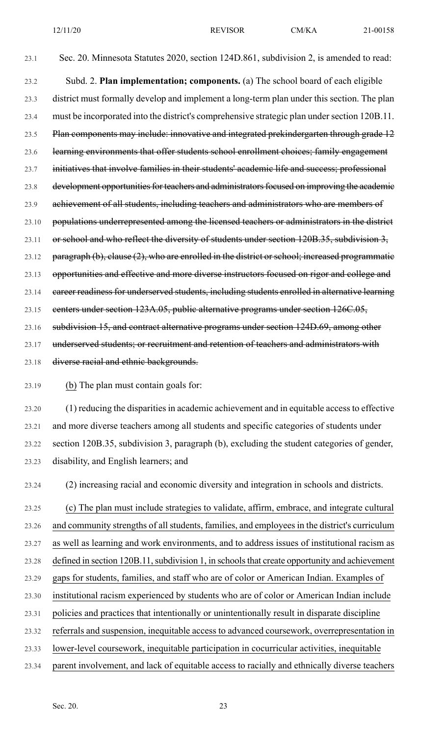23.1 Sec. 20. Minnesota Statutes 2020, section 124D.861, subdivision 2, is amended to read: 23.2 Subd. 2. **Plan implementation; components.** (a) The school board of each eligible 23.3 district must formally develop and implement a long-term plan under this section. The plan 23.4 must be incorporated into the district's comprehensive strategic plan undersection 120B.11. 23.5 Plan components may include: innovative and integrated prekindergarten through grade 12 23.6 learning environments that offer students school enrollment choices; family engagement 23.7 initiatives that involve families in their students' academic life and success; professional 23.8 development opportunities for teachers and administrators focused on improving the academic 23.9 achievement of all students, including teachers and administrators who are members of 23.10 populations underrepresented among the licensed teachers or administrators in the district 23.11 or school and who reflect the diversity of students under section 120B.35, subdivision 3, 23.12 paragraph (b), clause (2), who are enrolled in the district or school; increased programmatic 23.13 opportunities and effective and more diverse instructors focused on rigor and college and 23.14 eareer readiness for underserved students, including students enrolled in alternative learning 23.15 centers under section 123A.05, public alternative programs under section 126C.05, 23.16 subdivision 15, and contract alternative programs under section 124D.69, among other 23.17 underserved students; or recruitment and retention of teachers and administrators with 23.18 diverse racial and ethnic backgrounds.

23.19 (b) The plan must contain goals for:

23.20 (1) reducing the disparities in academic achievement and in equitable access to effective 23.21 and more diverse teachers among all students and specific categories of students under 23.22 section 120B.35, subdivision 3, paragraph (b), excluding the student categories of gender, 23.23 disability, and English learners; and

23.24 (2) increasing racial and economic diversity and integration in schools and districts.

23.25 (c) The plan must include strategies to validate, affirm, embrace, and integrate cultural 23.26 and community strengths of all students, families, and employees in the district's curriculum 23.27 as well as learning and work environments, and to address issues of institutional racism as 23.28 defined in section 120B.11, subdivision 1, in schools that create opportunity and achievement 23.29 gaps for students, families, and staff who are of color or American Indian. Examples of 23.30 institutional racism experienced by students who are of color or American Indian include 23.31 policies and practices that intentionally or unintentionally result in disparate discipline 23.32 referrals and suspension, inequitable access to advanced coursework, overrepresentation in 23.33 lower-level coursework, inequitable participation in cocurricular activities, inequitable 23.34 parent involvement, and lack of equitable access to racially and ethnically diverse teachers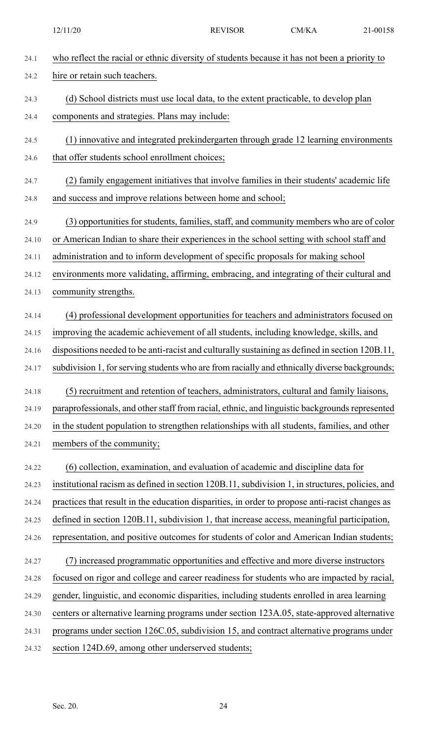12/11/20 REVISOR CM/KA 21-00158

| 24.1  | who reflect the racial or ethnic diversity of students because it has not been a priority to    |
|-------|-------------------------------------------------------------------------------------------------|
| 24.2  | hire or retain such teachers.                                                                   |
| 24.3  | (d) School districts must use local data, to the extent practicable, to develop plan            |
| 24.4  | components and strategies. Plans may include:                                                   |
| 24.5  | (1) innovative and integrated prekindergarten through grade 12 learning environments            |
| 24.6  | that offer students school enrollment choices;                                                  |
| 24.7  | (2) family engagement initiatives that involve families in their students' academic life        |
| 24.8  | and success and improve relations between home and school;                                      |
| 24.9  | (3) opportunities for students, families, staff, and community members who are of color         |
| 24.10 | or American Indian to share their experiences in the school setting with school staff and       |
| 24.11 | administration and to inform development of specific proposals for making school                |
| 24.12 | environments more validating, affirming, embracing, and integrating of their cultural and       |
| 24.13 | community strengths.                                                                            |
| 24.14 | (4) professional development opportunities for teachers and administrators focused on           |
| 24.15 | improving the academic achievement of all students, including knowledge, skills, and            |
| 24.16 | dispositions needed to be anti-racist and culturally sustaining as defined in section 120B.11,  |
| 24.17 | subdivision 1, for serving students who are from racially and ethnically diverse backgrounds;   |
| 24.18 | (5) recruitment and retention of teachers, administrators, cultural and family liaisons,        |
| 24.19 | paraprofessionals, and other staff from racial, ethnic, and linguistic backgrounds represented  |
| 24.20 | in the student population to strengthen relationships with all students, families, and other    |
| 24.21 | members of the community;                                                                       |
| 24.22 | (6) collection, examination, and evaluation of academic and discipline data for                 |
| 24.23 | institutional racism as defined in section 120B.11, subdivision 1, in structures, policies, and |
| 24.24 | practices that result in the education disparities, in order to propose anti-racist changes as  |
| 24.25 | defined in section 120B.11, subdivision 1, that increase access, meaningful participation,      |
| 24.26 | representation, and positive outcomes for students of color and American Indian students;       |
| 24.27 | (7) increased programmatic opportunities and effective and more diverse instructors             |
| 24.28 | focused on rigor and college and career readiness for students who are impacted by racial,      |
| 24.29 | gender, linguistic, and economic disparities, including students enrolled in area learning      |
| 24.30 | centers or alternative learning programs under section 123A.05, state-approved alternative      |
| 24.31 | programs under section 126C.05, subdivision 15, and contract alternative programs under         |
| 24.32 | section 124D.69, among other underserved students;                                              |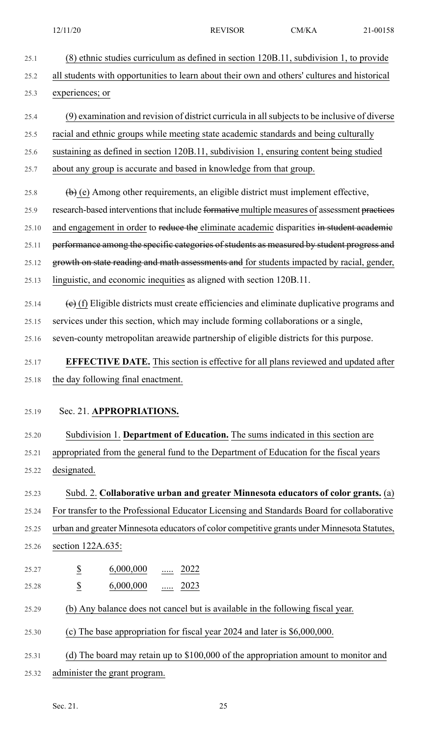25.1 (8) ethnic studies curriculum as defined in section 120B.11, subdivision 1, to provide 25.2 all students with opportunities to learn about their own and others' cultures and historical 25.3 experiences; or 25.4 (9) examination and revision of district curricula in allsubjectsto be inclusive of diverse 25.5 racial and ethnic groups while meeting state academic standards and being culturally 25.6 sustaining as defined in section 120B.11, subdivision 1, ensuring content being studied 25.7 about any group is accurate and based in knowledge from that group. 25.8  $\left(\frac{b}{c}\right)$  (e) Among other requirements, an eligible district must implement effective, 25.9 research-based interventions that include formative multiple measures of assessment practices 25.10 and engagement in order to reduce the eliminate academic disparities in student academic 25.11 performance among the specific categories of students as measured by student progress and 25.12 growth on state reading and math assessments and for students impacted by racial, gender, 25.13 linguistic, and economic inequities as aligned with section 120B.11. 25.14  $\left(\mathbf{e}\right)$  (f) Eligible districts must create efficiencies and eliminate duplicative programs and 25.15 services under this section, which may include forming collaborations or a single, 25.16 seven-county metropolitan areawide partnership of eligible districts for this purpose. 25.17 **EFFECTIVE DATE.** This section is effective for all plans reviewed and updated after 25.18 the day following final enactment. 25.19 Sec. 21. **APPROPRIATIONS.** 25.20 Subdivision 1. **Department of Education.** The sums indicated in this section are 25.21 appropriated from the general fund to the Department of Education for the fiscal years 25.22 designated. 25.23 Subd. 2. **Collaborative urban and greater Minnesota educators of color grants.** (a) 25.24 For transfer to the Professional Educator Licensing and Standards Board for collaborative 25.25 urban and greater Minnesota educators of color competitive grants under Minnesota Statutes, 25.26 section 122A.635: 25.27 \$ 6,000,000 ..... 2022 25.28 \$ 6,000,000 ..... 2023 25.29 (b) Any balance does not cancel but is available in the following fiscal year. 25.30 (c) The base appropriation for fiscal year 2024 and later is \$6,000,000. 25.31 (d) The board may retain up to \$100,000 of the appropriation amount to monitor and 25.32 administer the grant program.

Sec. 21. 25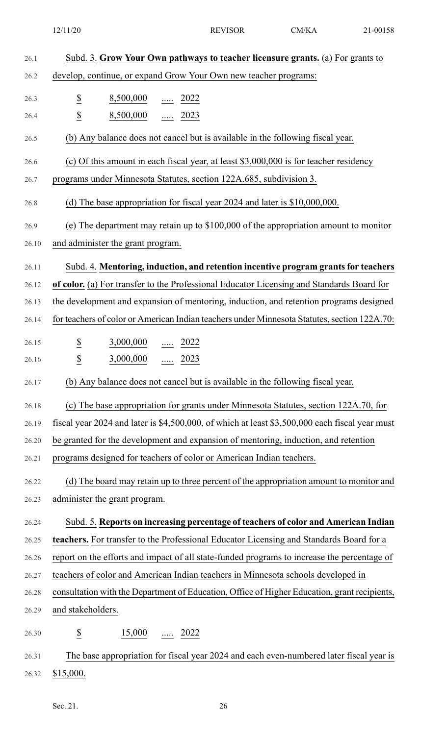| 26.1  | Subd. 3. Grow Your Own pathways to teacher licensure grants. (a) For grants to                 |
|-------|------------------------------------------------------------------------------------------------|
| 26.2  | develop, continue, or expand Grow Your Own new teacher programs:                               |
| 26.3  | $\overline{\mathcal{E}}$<br>$8,500,000$ 2022                                                   |
| 26.4  | $8,500,000$ 2023<br>$\underline{\$}$                                                           |
| 26.5  | (b) Any balance does not cancel but is available in the following fiscal year.                 |
| 26.6  | (c) Of this amount in each fiscal year, at least \$3,000,000 is for teacher residency          |
| 26.7  | programs under Minnesota Statutes, section 122A.685, subdivision 3.                            |
| 26.8  | (d) The base appropriation for fiscal year $2024$ and later is $$10,000,000$ .                 |
| 26.9  | (e) The department may retain up to \$100,000 of the appropriation amount to monitor           |
| 26.10 | and administer the grant program.                                                              |
| 26.11 | Subd. 4. Mentoring, induction, and retention incentive program grants for teachers             |
| 26.12 | of color. (a) For transfer to the Professional Educator Licensing and Standards Board for      |
| 26.13 | the development and expansion of mentoring, induction, and retention programs designed         |
| 26.14 | for teachers of color or American Indian teachers under Minnesota Statutes, section 122A.70:   |
| 26.15 | $\overline{\mathcal{E}}$<br>$3,000,000$ 2022                                                   |
| 26.16 | $\underline{\$}$<br>3,000,000  2023                                                            |
|       |                                                                                                |
| 26.17 | (b) Any balance does not cancel but is available in the following fiscal year.                 |
| 26.18 | (c) The base appropriation for grants under Minnesota Statutes, section 122A.70, for           |
| 26.19 | fiscal year 2024 and later is \$4,500,000, of which at least \$3,500,000 each fiscal year must |
| 26.20 | be granted for the development and expansion of mentoring, induction, and retention            |
| 26.21 | programs designed for teachers of color or American Indian teachers.                           |
| 26.22 | (d) The board may retain up to three percent of the appropriation amount to monitor and        |
| 26.23 | administer the grant program.                                                                  |
| 26.24 | Subd. 5. Reports on increasing percentage of teachers of color and American Indian             |
| 26.25 | teachers. For transfer to the Professional Educator Licensing and Standards Board for a        |
| 26.26 | report on the efforts and impact of all state-funded programs to increase the percentage of    |
| 26.27 | teachers of color and American Indian teachers in Minnesota schools developed in               |
| 26.28 | consultation with the Department of Education, Office of Higher Education, grant recipients,   |
| 26.29 | and stakeholders.                                                                              |
| 26.30 | $\frac{1}{2}$<br>$\frac{15,000}{\cdots}$ $\frac{2022}{\cdots}$                                 |
| 26.31 | The base appropriation for fiscal year 2024 and each even-numbered later fiscal year is        |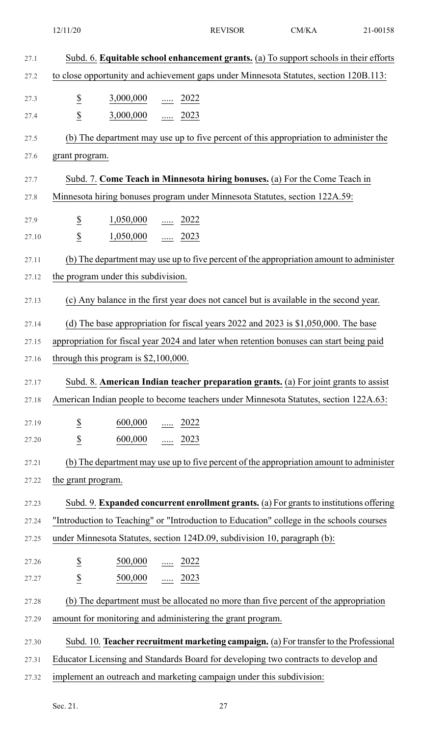| 27.1  | Subd. 6. Equitable school enhancement grants. (a) To support schools in their efforts    |
|-------|------------------------------------------------------------------------------------------|
| 27.2  | to close opportunity and achievement gaps under Minnesota Statutes, section 120B.113:    |
| 27.3  | $\frac{\mathcal{S}}{\mathcal{S}}$<br>$3,000,000$ 2022                                    |
| 27.4  | $3,000,000$ 2023<br>$\underline{\$}$                                                     |
| 27.5  | (b) The department may use up to five percent of this appropriation to administer the    |
| 27.6  | grant program.                                                                           |
| 27.7  | Subd. 7. Come Teach in Minnesota hiring bonuses. (a) For the Come Teach in               |
| 27.8  | Minnesota hiring bonuses program under Minnesota Statutes, section 122A.59:              |
| 27.9  | $\frac{\mathcal{S}}{\mathcal{S}}$<br>$\frac{1,050,000}{}$ 2022                           |
| 27.10 | $\overline{\mathcal{L}}$<br>$1,050,000$ 2023                                             |
| 27.11 | (b) The department may use up to five percent of the appropriation amount to administer  |
| 27.12 | the program under this subdivision.                                                      |
| 27.13 | (c) Any balance in the first year does not cancel but is available in the second year.   |
| 27.14 | (d) The base appropriation for fiscal years $2022$ and $2023$ is \$1,050,000. The base   |
| 27.15 | appropriation for fiscal year 2024 and later when retention bonuses can start being paid |
| 27.16 | through this program is $$2,100,000$ .                                                   |
| 27.17 | Subd. 8. American Indian teacher preparation grants. (a) For joint grants to assist      |
| 27.18 | American Indian people to become teachers under Minnesota Statutes, section 122A.63:     |
| 27.19 | $\overline{\mathcal{E}}$<br>$\underline{600,000}$ 2022                                   |
| 27.20 | $\underline{\underline{\$}}$<br>$\underline{600,000}$ 2023                               |
| 27.21 | (b) The department may use up to five percent of the appropriation amount to administer  |
| 27.22 | the grant program.                                                                       |
| 27.23 | Subd. 9. Expanded concurrent enrollment grants. (a) For grants to institutions offering  |
| 27.24 | "Introduction to Teaching" or "Introduction to Education" college in the schools courses |
| 27.25 | under Minnesota Statutes, section 124D.09, subdivision 10, paragraph (b):                |
| 27.26 | $\frac{1}{2}$<br>$\underline{500,000}$ 2022                                              |
| 27.27 | $\underline{\$}$<br>500,000  2023                                                        |
| 27.28 | (b) The department must be allocated no more than five percent of the appropriation      |
| 27.29 | amount for monitoring and administering the grant program.                               |
| 27.30 | Subd. 10. Teacher recruitment marketing campaign. (a) For transfer to the Professional   |
| 27.31 | Educator Licensing and Standards Board for developing two contracts to develop and       |
| 27.32 | implement an outreach and marketing campaign under this subdivision:                     |